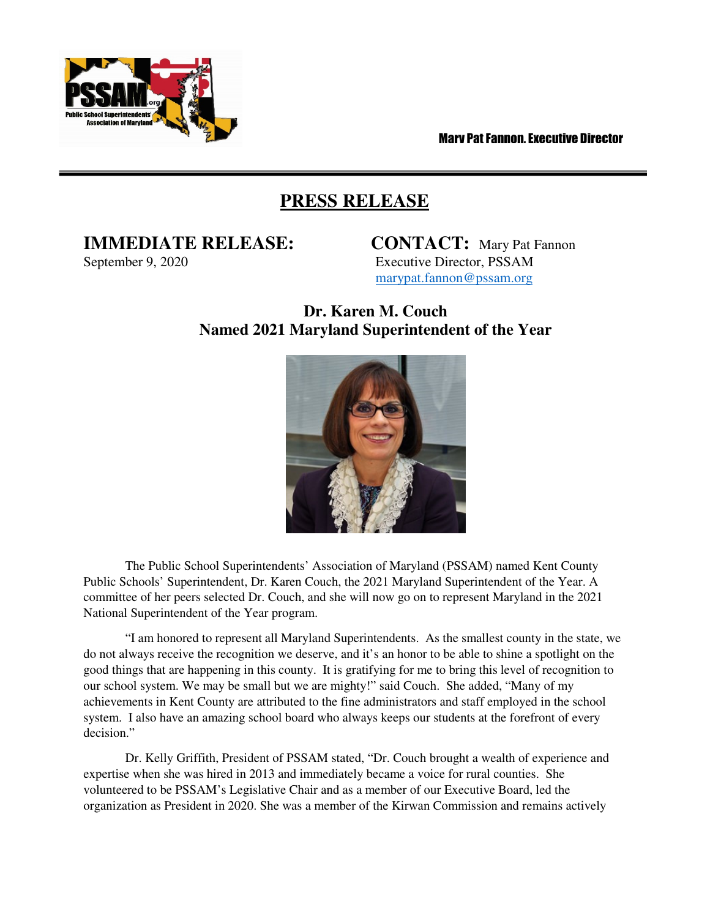

Mary Pat Fannon, Executive Director

## **PRESS RELEASE**

## **IMMEDIATE RELEASE: CONTACT:** Mary Pat Fannon

September 9, 2020 Executive Director, PSSAM marypat.fannon@pssam.org

## **Dr. Karen M. Couch Named 2021 Maryland Superintendent of the Year**



The Public School Superintendents' Association of Maryland (PSSAM) named Kent County Public Schools' Superintendent, Dr. Karen Couch, the 2021 Maryland Superintendent of the Year. A committee of her peers selected Dr. Couch, and she will now go on to represent Maryland in the 2021 National Superintendent of the Year program.

"I am honored to represent all Maryland Superintendents. As the smallest county in the state, we do not always receive the recognition we deserve, and it's an honor to be able to shine a spotlight on the good things that are happening in this county. It is gratifying for me to bring this level of recognition to our school system. We may be small but we are mighty!" said Couch. She added, "Many of my achievements in Kent County are attributed to the fine administrators and staff employed in the school system. I also have an amazing school board who always keeps our students at the forefront of every decision."

Dr. Kelly Griffith, President of PSSAM stated, "Dr. Couch brought a wealth of experience and expertise when she was hired in 2013 and immediately became a voice for rural counties. She volunteered to be PSSAM's Legislative Chair and as a member of our Executive Board, led the organization as President in 2020. She was a member of the Kirwan Commission and remains actively